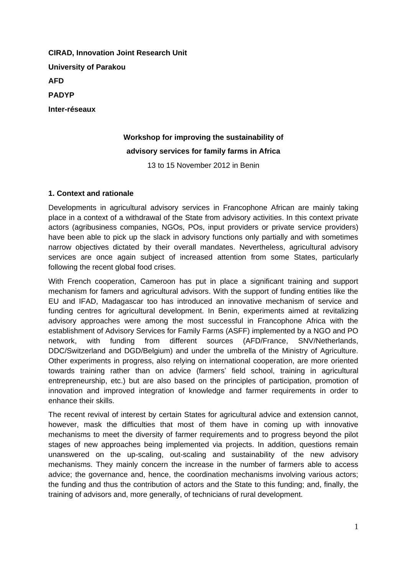**CIRAD, Innovation Joint Research Unit University of Parakou AFD PADYP Inter-réseaux**

# **Workshop for improving the sustainability of advisory services for family farms in Africa**

13 to 15 November 2012 in Benin

## **1. Context and rationale**

Developments in agricultural advisory services in Francophone African are mainly taking place in a context of a withdrawal of the State from advisory activities. In this context private actors (agribusiness companies, NGOs, POs, input providers or private service providers) have been able to pick up the slack in advisory functions only partially and with sometimes narrow objectives dictated by their overall mandates. Nevertheless, agricultural advisory services are once again subject of increased attention from some States, particularly following the recent global food crises.

With French cooperation, Cameroon has put in place a significant training and support mechanism for famers and agricultural advisors. With the support of funding entities like the EU and IFAD, Madagascar too has introduced an innovative mechanism of service and funding centres for agricultural development. In Benin, experiments aimed at revitalizing advisory approaches were among the most successful in Francophone Africa with the establishment of Advisory Services for Family Farms (ASFF) implemented by a NGO and PO network, with funding from different sources (AFD/France, SNV/Netherlands, DDC/Switzerland and DGD/Belgium) and under the umbrella of the Ministry of Agriculture. Other experiments in progress, also relying on international cooperation, are more oriented towards training rather than on advice (farmers' field school, training in agricultural entrepreneurship, etc.) but are also based on the principles of participation, promotion of innovation and improved integration of knowledge and farmer requirements in order to enhance their skills.

The recent revival of interest by certain States for agricultural advice and extension cannot, however, mask the difficulties that most of them have in coming up with innovative mechanisms to meet the diversity of farmer requirements and to progress beyond the pilot stages of new approaches being implemented via projects. In addition, questions remain unanswered on the up-scaling, out-scaling and sustainability of the new advisory mechanisms. They mainly concern the increase in the number of farmers able to access advice; the governance and, hence, the coordination mechanisms involving various actors; the funding and thus the contribution of actors and the State to this funding; and, finally, the training of advisors and, more generally, of technicians of rural development.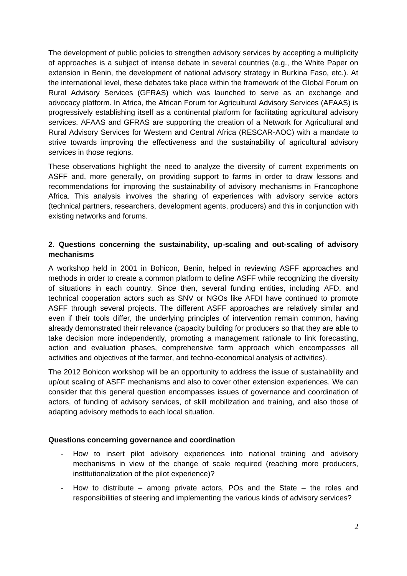The development of public policies to strengthen advisory services by accepting a multiplicity of approaches is a subject of intense debate in several countries (e.g., the White Paper on extension in Benin, the development of national advisory strategy in Burkina Faso, etc.). At the international level, these debates take place within the framework of the Global Forum on Rural Advisory Services (GFRAS) which was launched to serve as an exchange and advocacy platform. In Africa, the African Forum for Agricultural Advisory Services (AFAAS) is progressively establishing itself as a continental platform for facilitating agricultural advisory services. AFAAS and GFRAS are supporting the creation of a Network for Agricultural and Rural Advisory Services for Western and Central Africa (RESCAR-AOC) with a mandate to strive towards improving the effectiveness and the sustainability of agricultural advisory services in those regions.

These observations highlight the need to analyze the diversity of current experiments on ASFF and, more generally, on providing support to farms in order to draw lessons and recommendations for improving the sustainability of advisory mechanisms in Francophone Africa. This analysis involves the sharing of experiences with advisory service actors (technical partners, researchers, development agents, producers) and this in conjunction with existing networks and forums.

## **2. Questions concerning the sustainability, up-scaling and out-scaling of advisory mechanisms**

A workshop held in 2001 in Bohicon, Benin, helped in reviewing ASFF approaches and methods in order to create a common platform to define ASFF while recognizing the diversity of situations in each country. Since then, several funding entities, including AFD, and technical cooperation actors such as SNV or NGOs like AFDI have continued to promote ASFF through several projects. The different ASFF approaches are relatively similar and even if their tools differ, the underlying principles of intervention remain common, having already demonstrated their relevance (capacity building for producers so that they are able to take decision more independently, promoting a management rationale to link forecasting, action and evaluation phases, comprehensive farm approach which encompasses all activities and objectives of the farmer, and techno-economical analysis of activities).

The 2012 Bohicon workshop will be an opportunity to address the issue of sustainability and up/out scaling of ASFF mechanisms and also to cover other extension experiences. We can consider that this general question encompasses issues of governance and coordination of actors, of funding of advisory services, of skill mobilization and training, and also those of adapting advisory methods to each local situation.

#### **Questions concerning governance and coordination**

- How to insert pilot advisory experiences into national training and advisory mechanisms in view of the change of scale required (reaching more producers, institutionalization of the pilot experience)?
- How to distribute among private actors, POs and the State the roles and responsibilities of steering and implementing the various kinds of advisory services?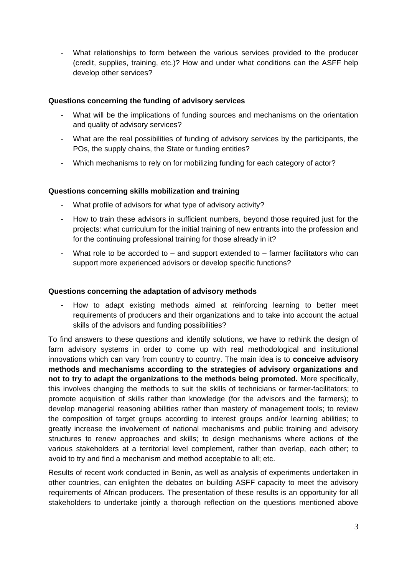- What relationships to form between the various services provided to the producer (credit, supplies, training, etc.)? How and under what conditions can the ASFF help develop other services?

## **Questions concerning the funding of advisory services**

- What will be the implications of funding sources and mechanisms on the orientation and quality of advisory services?
- What are the real possibilities of funding of advisory services by the participants, the POs, the supply chains, the State or funding entities?
- Which mechanisms to rely on for mobilizing funding for each category of actor?

## **Questions concerning skills mobilization and training**

- What profile of advisors for what type of advisory activity?
- How to train these advisors in sufficient numbers, beyond those required just for the projects: what curriculum for the initial training of new entrants into the profession and for the continuing professional training for those already in it?
- What role to be accorded to and support extended to farmer facilitators who can support more experienced advisors or develop specific functions?

#### **Questions concerning the adaptation of advisory methods**

- How to adapt existing methods aimed at reinforcing learning to better meet requirements of producers and their organizations and to take into account the actual skills of the advisors and funding possibilities?

To find answers to these questions and identify solutions, we have to rethink the design of farm advisory systems in order to come up with real methodological and institutional innovations which can vary from country to country. The main idea is to **conceive advisory methods and mechanisms according to the strategies of advisory organizations and not to try to adapt the organizations to the methods being promoted.** More specifically, this involves changing the methods to suit the skills of technicians or farmer-facilitators; to promote acquisition of skills rather than knowledge (for the advisors and the farmers); to develop managerial reasoning abilities rather than mastery of management tools; to review the composition of target groups according to interest groups and/or learning abilities; to greatly increase the involvement of national mechanisms and public training and advisory structures to renew approaches and skills; to design mechanisms where actions of the various stakeholders at a territorial level complement, rather than overlap, each other; to avoid to try and find a mechanism and method acceptable to all; etc.

Results of recent work conducted in Benin, as well as analysis of experiments undertaken in other countries, can enlighten the debates on building ASFF capacity to meet the advisory requirements of African producers. The presentation of these results is an opportunity for all stakeholders to undertake jointly a thorough reflection on the questions mentioned above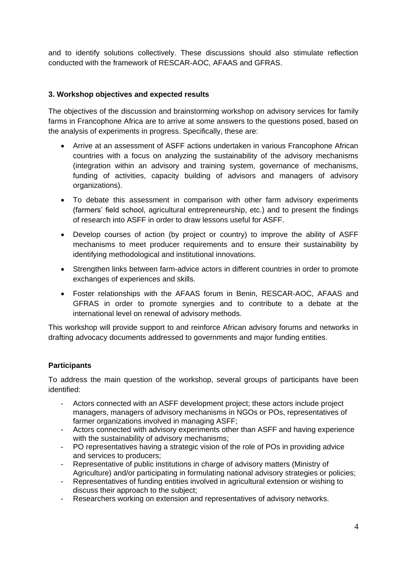and to identify solutions collectively. These discussions should also stimulate reflection conducted with the framework of RESCAR-AOC, AFAAS and GFRAS.

## **3. Workshop objectives and expected results**

The objectives of the discussion and brainstorming workshop on advisory services for family farms in Francophone Africa are to arrive at some answers to the questions posed, based on the analysis of experiments in progress. Specifically, these are:

- Arrive at an assessment of ASFF actions undertaken in various Francophone African countries with a focus on analyzing the sustainability of the advisory mechanisms (integration within an advisory and training system, governance of mechanisms, funding of activities, capacity building of advisors and managers of advisory organizations).
- To debate this assessment in comparison with other farm advisory experiments (farmers' field school, agricultural entrepreneurship, etc.) and to present the findings of research into ASFF in order to draw lessons useful for ASFF.
- Develop courses of action (by project or country) to improve the ability of ASFF mechanisms to meet producer requirements and to ensure their sustainability by identifying methodological and institutional innovations.
- Strengthen links between farm-advice actors in different countries in order to promote exchanges of experiences and skills.
- Foster relationships with the AFAAS forum in Benin, RESCAR-AOC, AFAAS and GFRAS in order to promote synergies and to contribute to a debate at the international level on renewal of advisory methods.

This workshop will provide support to and reinforce African advisory forums and networks in drafting advocacy documents addressed to governments and major funding entities.

## **Participants**

To address the main question of the workshop, several groups of participants have been identified:

- Actors connected with an ASFF development project; these actors include project managers, managers of advisory mechanisms in NGOs or POs, representatives of farmer organizations involved in managing ASFF;
- Actors connected with advisory experiments other than ASFF and having experience with the sustainability of advisory mechanisms;
- PO representatives having a strategic vision of the role of POs in providing advice and services to producers;
- Representative of public institutions in charge of advisory matters (Ministry of Agriculture) and/or participating in formulating national advisory strategies or policies;
- Representatives of funding entities involved in agricultural extension or wishing to discuss their approach to the subject;
- Researchers working on extension and representatives of advisory networks.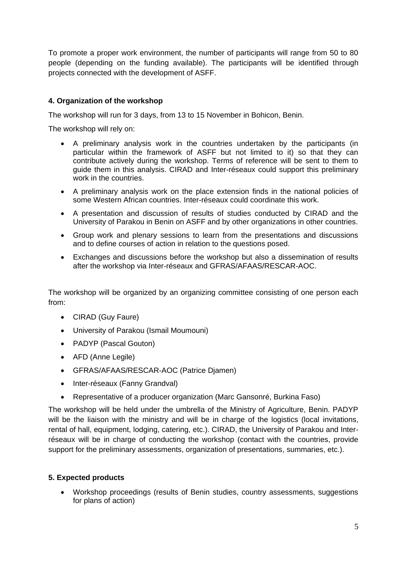To promote a proper work environment, the number of participants will range from 50 to 80 people (depending on the funding available). The participants will be identified through projects connected with the development of ASFF.

# **4. Organization of the workshop**

The workshop will run for 3 days, from 13 to 15 November in Bohicon, Benin.

The workshop will rely on:

- A preliminary analysis work in the countries undertaken by the participants (in particular within the framework of ASFF but not limited to it) so that they can contribute actively during the workshop. Terms of reference will be sent to them to guide them in this analysis. CIRAD and Inter-réseaux could support this preliminary work in the countries.
- A preliminary analysis work on the place extension finds in the national policies of some Western African countries. Inter-réseaux could coordinate this work.
- A presentation and discussion of results of studies conducted by CIRAD and the University of Parakou in Benin on ASFF and by other organizations in other countries.
- Group work and plenary sessions to learn from the presentations and discussions and to define courses of action in relation to the questions posed.
- Exchanges and discussions before the workshop but also a dissemination of results after the workshop via Inter-réseaux and GFRAS/AFAAS/RESCAR-AOC.

The workshop will be organized by an organizing committee consisting of one person each from:

- CIRAD (Guy Faure)
- University of Parakou (Ismail Moumouni)
- PADYP (Pascal Gouton)
- AFD (Anne Legile)
- GFRAS/AFAAS/RESCAR-AOC (Patrice Djamen)
- Inter-réseaux (Fanny Grandval)
- Representative of a producer organization (Marc Gansonré, Burkina Faso)

The workshop will be held under the umbrella of the Ministry of Agriculture, Benin. PADYP will be the liaison with the ministry and will be in charge of the logistics (local invitations, rental of hall, equipment, lodging, catering, etc.). CIRAD, the University of Parakou and Interréseaux will be in charge of conducting the workshop (contact with the countries, provide support for the preliminary assessments, organization of presentations, summaries, etc.).

#### **5. Expected products**

 Workshop proceedings (results of Benin studies, country assessments, suggestions for plans of action)